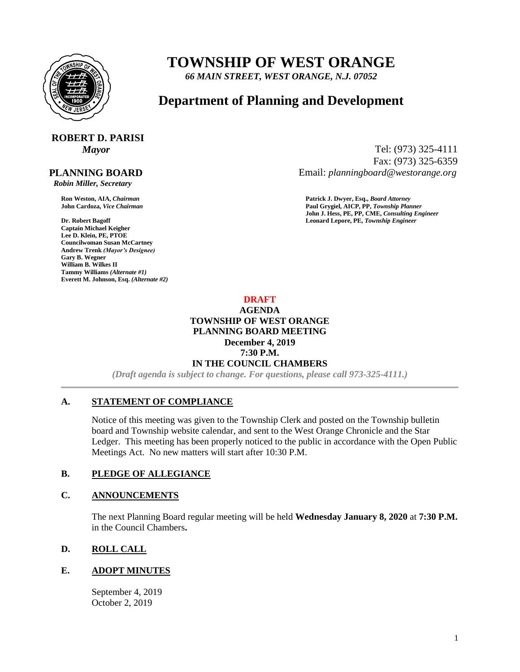

# **TOWNSHIP OF WEST ORANGE**

*66 MAIN STREET, WEST ORANGE, N.J. 07052*

# **Department of Planning and Development**

# **ROBERT D. PARISI**

 **PLANNING BOARD**

 *Robin Miller, Secretary*

**Captain Michael Keigher Lee D. Klein, PE, PTOE Councilwoman Susan McCartney Andrew Trenk** *(Mayor's Designee)* **Gary B. Wegner William B. Wilkes II Tammy Williams** *(Alternate #1)* **Everett M. Johnson, Esq.** *(Alternate #2)*

*Mayor* Tel: (973) 325-4111 Fax: (973) 325-6359 Email: *planningboard@westorange.org*

**Ron Weston, AIA,** *Chairman* **Patrick J. Dwyer, Esq.,** *Board Attorney* **John Cardoza,** *Vice Chairman* **Paul Grygiel, AICP, PP,** *Township Planner* **John J. Hess, PE, PP, CME,** *Consulting Engineer* **Dr. Robert Bagoff Leonard Lepore, PE,** *Township Engineer*

> **DRAFT AGENDA TOWNSHIP OF WEST ORANGE PLANNING BOARD MEETING December 4, 2019 7:30 P.M. IN THE COUNCIL CHAMBERS**

*(Draft agenda is subject to change. For questions, please call 973-325-4111.)*

## **A. STATEMENT OF COMPLIANCE**

Notice of this meeting was given to the Township Clerk and posted on the Township bulletin board and Township website calendar, and sent to the West Orange Chronicle and the Star Ledger. This meeting has been properly noticed to the public in accordance with the Open Public Meetings Act. No new matters will start after 10:30 P.M.

#### **B. PLEDGE OF ALLEGIANCE**

#### **C. ANNOUNCEMENTS**

The next Planning Board regular meeting will be held **Wednesday January 8, 2020** at **7:30 P.M.** in the Council Chambers**.**

## **D. ROLL CALL**

#### **E. ADOPT MINUTES**

September 4, 2019 October 2, 2019